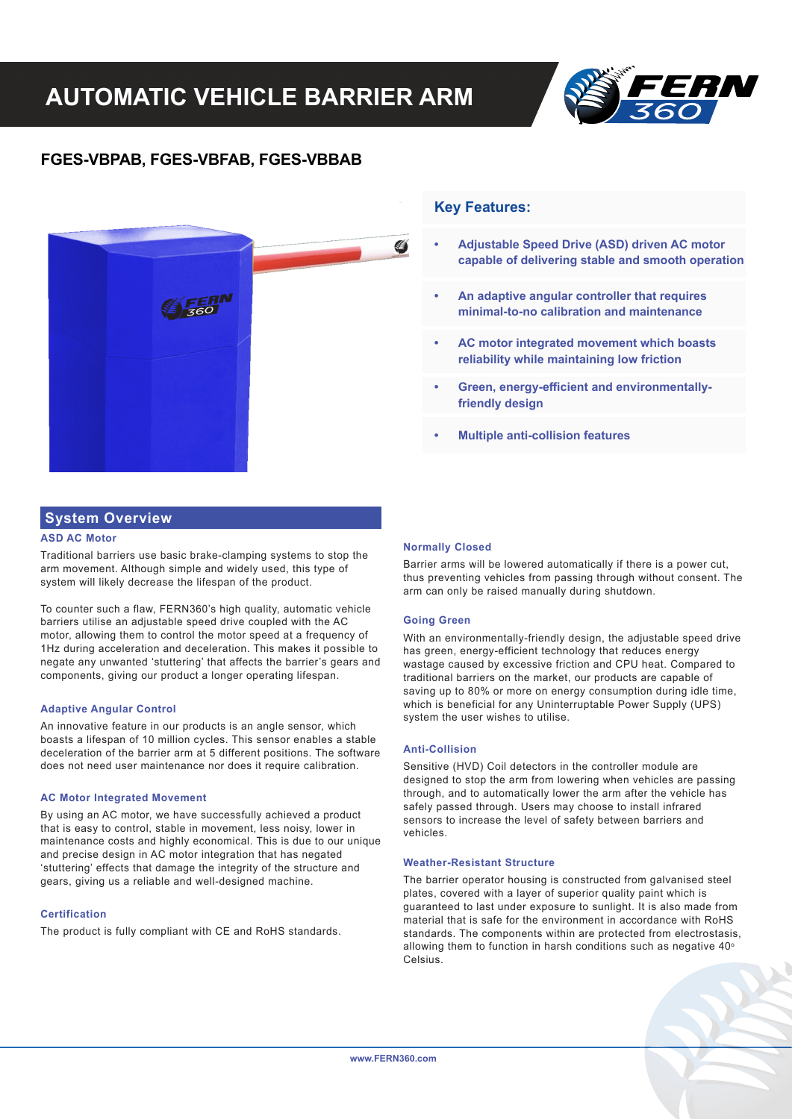

## **FGES-VBPAB, FGES-VBFAB, FGES-VBBAB**



## **System Overview**

### **ASD AC Motor**

Traditional barriers use basic brake-clamping systems to stop the arm movement. Although simple and widely used, this type of system will likely decrease the lifespan of the product.

To counter such a flaw, FERN360's high quality, automatic vehicle barriers utilise an adjustable speed drive coupled with the AC motor, allowing them to control the motor speed at a frequency of 1Hz during acceleration and deceleration. This makes it possible to negate any unwanted 'stuttering' that affects the barrier's gears and components, giving our product a longer operating lifespan.

### **Adaptive Angular Control**

An innovative feature in our products is an angle sensor, which boasts a lifespan of 10 million cycles. This sensor enables a stable deceleration of the barrier arm at 5 different positions. The software does not need user maintenance nor does it require calibration.

### **AC Motor Integrated Movement**

By using an AC motor, we have successfully achieved a product that is easy to control, stable in movement, less noisy, lower in maintenance costs and highly economical. This is due to our unique and precise design in AC motor integration that has negated 'stuttering' effects that damage the integrity of the structure and gears, giving us a reliable and well-designed machine.

### **Certification**

The product is fully compliant with CE and RoHS standards.

### **Key Features:**

- **Adjustable Speed Drive (ASD) driven AC motor capable of delivering stable and smooth operation**
- **An adaptive angular controller that requires minimal-to-no calibration and maintenance**
- **AC motor integrated movement which boasts reliability while maintaining low friction**
- **Green, energy-efficient and environmentallyfriendly design**
- **Multiple anti-collision features**

#### **Normally Closed**

Barrier arms will be lowered automatically if there is a power cut, thus preventing vehicles from passing through without consent. The arm can only be raised manually during shutdown.

### **Going Green**

With an environmentally-friendly design, the adjustable speed drive has green, energy-efficient technology that reduces energy wastage caused by excessive friction and CPU heat. Compared to traditional barriers on the market, our products are capable of saving up to 80% or more on energy consumption during idle time, which is beneficial for any Uninterruptable Power Supply (UPS) system the user wishes to utilise.

### **Anti-Collision**

Sensitive (HVD) Coil detectors in the controller module are designed to stop the arm from lowering when vehicles are passing through, and to automatically lower the arm after the vehicle has safely passed through. Users may choose to install infrared sensors to increase the level of safety between barriers and vehicles.

### **Weather-Resistant Structure**

The barrier operator housing is constructed from galvanised steel plates, covered with a layer of superior quality paint which is guaranteed to last under exposure to sunlight. It is also made from material that is safe for the environment in accordance with RoHS standards. The components within are protected from electrostasis, allowing them to function in harsh conditions such as negative  $40^{\circ}$ Celsius.